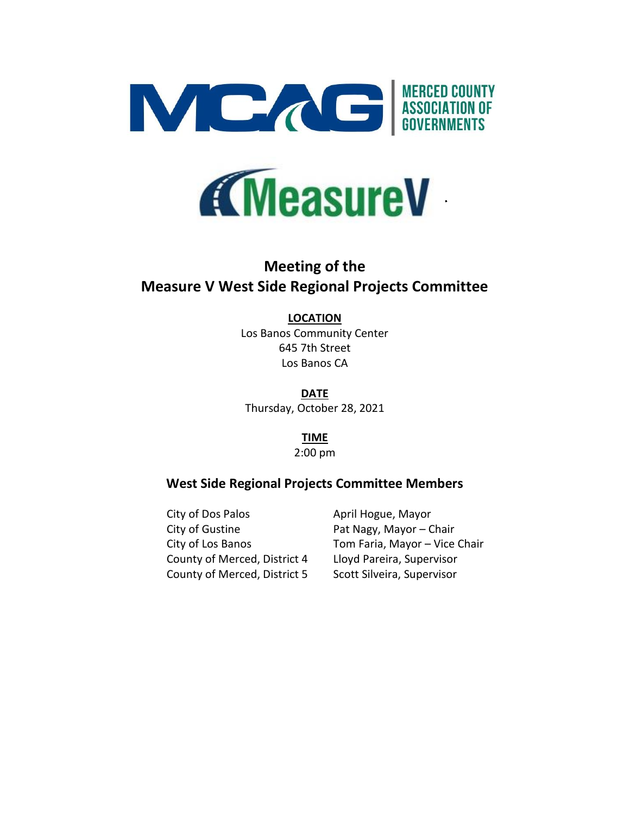



# **Meeting of the Measure V West Side Regional Projects Committee**

# **LOCATION**

Los Banos Community Center 645 7th Street Los Banos CA

**DATE** Thursday, October 28, 2021

> **TIME** 2:00 pm

# **West Side Regional Projects Committee Members**

City of Dos Palos **April Hogue, Mayor** City of Gustine **Pat Nagy, Mayor – Chair** County of Merced, District 4 Lloyd Pareira, Supervisor County of Merced, District 5 Scott Silveira, Supervisor

City of Los Banos Tom Faria, Mayor – Vice Chair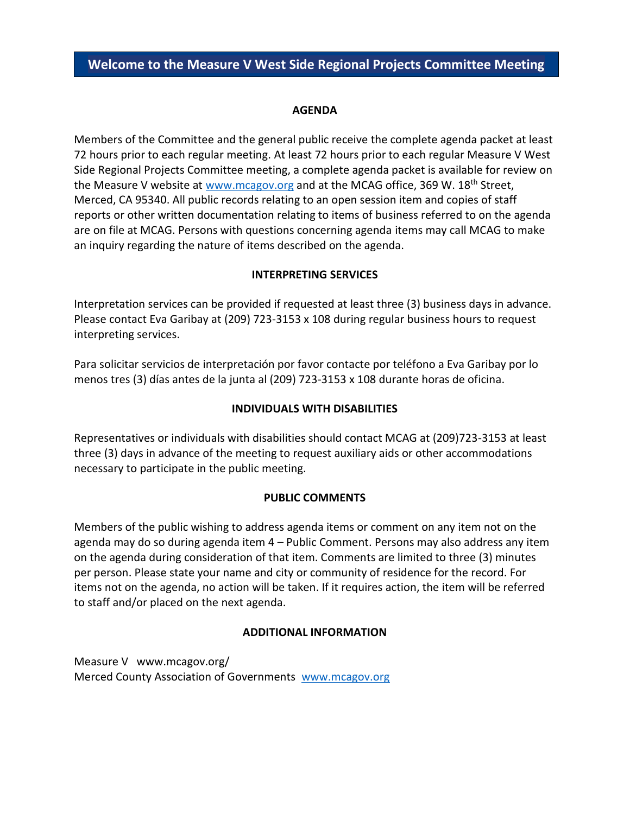# **AGENDA**

Members of the Committee and the general public receive the complete agenda packet at least 72 hours prior to each regular meeting. At least 72 hours prior to each regular Measure V West Side Regional Projects Committee meeting, a complete agenda packet is available for review on the Measure V website at [www.mcagov.org](http://www.mcagov.org/) and at the MCAG office, 369 W. 18<sup>th</sup> Street, Merced, CA 95340. All public records relating to an open session item and copies of staff reports or other written documentation relating to items of business referred to on the agenda are on file at MCAG. Persons with questions concerning agenda items may call MCAG to make an inquiry regarding the nature of items described on the agenda.

# **INTERPRETING SERVICES**

Interpretation services can be provided if requested at least three (3) business days in advance. Please contact Eva Garibay at (209) 723-3153 x 108 during regular business hours to request interpreting services.

Para solicitar servicios de interpretación por favor contacte por teléfono a Eva Garibay por lo menos tres (3) días antes de la junta al (209) 723-3153 x 108 durante horas de oficina.

# **INDIVIDUALS WITH DISABILITIES**

Representatives or individuals with disabilities should contact MCAG at (209)723-3153 at least three (3) days in advance of the meeting to request auxiliary aids or other accommodations necessary to participate in the public meeting.

# **PUBLIC COMMENTS**

Members of the public wishing to address agenda items or comment on any item not on the agenda may do so during agenda item 4 – Public Comment. Persons may also address any item on the agenda during consideration of that item. Comments are limited to three (3) minutes per person. Please state your name and city or community of residence for the record. For items not on the agenda, no action will be taken. If it requires action, the item will be referred to staff and/or placed on the next agenda.

# **ADDITIONAL INFORMATION**

Measure V www.mcagov.org/ Merced County Association of Governments [www.mcagov.org](http://www.mcagov.org/)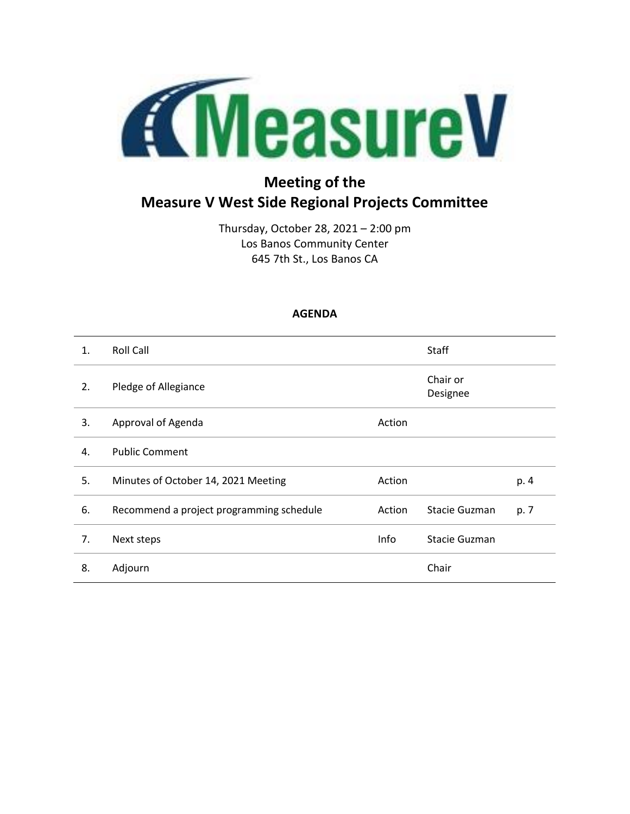

# **Meeting of the Measure V West Side Regional Projects Committee**

Thursday, October 28, 2021 – 2:00 pm Los Banos Community Center 645 7th St., Los Banos CA

# **AGENDA**

| $\mathbf{1}$ . | <b>Roll Call</b>                         |        | <b>Staff</b>         |      |
|----------------|------------------------------------------|--------|----------------------|------|
| 2.             | Pledge of Allegiance                     |        | Chair or<br>Designee |      |
| 3.             | Approval of Agenda                       | Action |                      |      |
| 4.             | <b>Public Comment</b>                    |        |                      |      |
| 5.             | Minutes of October 14, 2021 Meeting      | Action |                      | p. 4 |
| 6.             | Recommend a project programming schedule | Action | Stacie Guzman        | p. 7 |
| 7.             | Next steps                               | Info   | Stacie Guzman        |      |
| 8.             | Adjourn                                  |        | Chair                |      |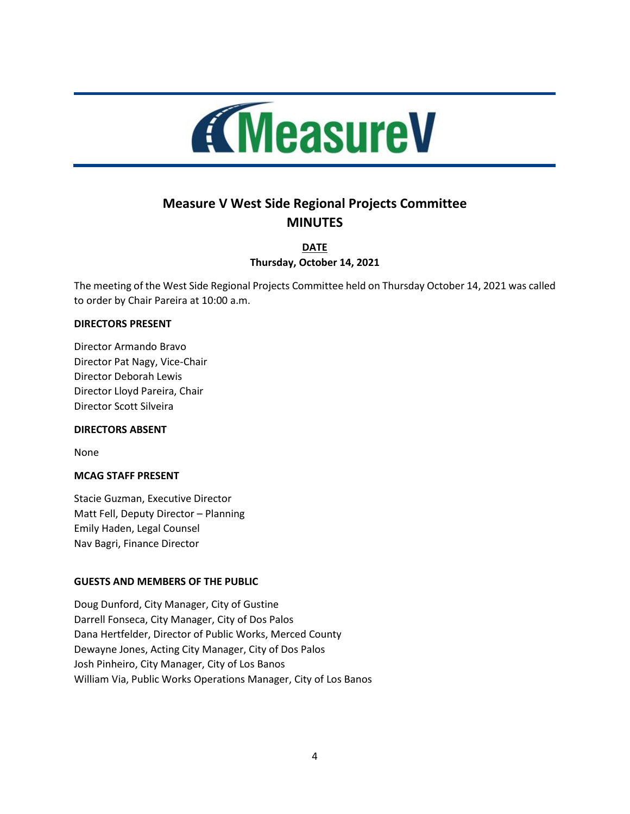

# **Measure V West Side Regional Projects Committee MINUTES**

**DATE Thursday, October 14, 2021**

The meeting of the West Side Regional Projects Committee held on Thursday October 14, 2021 was called to order by Chair Pareira at 10:00 a.m.

#### **DIRECTORS PRESENT**

Director Armando Bravo Director Pat Nagy, Vice-Chair Director Deborah Lewis Director Lloyd Pareira, Chair Director Scott Silveira

#### **DIRECTORS ABSENT**

None

# **MCAG STAFF PRESENT**

Stacie Guzman, Executive Director Matt Fell, Deputy Director – Planning Emily Haden, Legal Counsel Nav Bagri, Finance Director

# **GUESTS AND MEMBERS OF THE PUBLIC**

Doug Dunford, City Manager, City of Gustine Darrell Fonseca, City Manager, City of Dos Palos Dana Hertfelder, Director of Public Works, Merced County Dewayne Jones, Acting City Manager, City of Dos Palos Josh Pinheiro, City Manager, City of Los Banos William Via, Public Works Operations Manager, City of Los Banos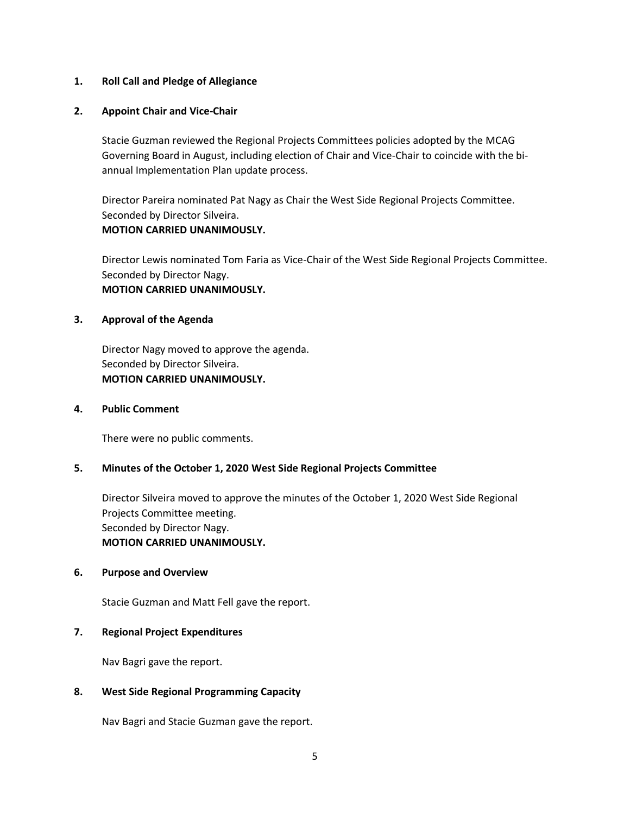#### **1. Roll Call and Pledge of Allegiance**

#### **2. Appoint Chair and Vice-Chair**

Stacie Guzman reviewed the Regional Projects Committees policies adopted by the MCAG Governing Board in August, including election of Chair and Vice-Chair to coincide with the biannual Implementation Plan update process.

Director Pareira nominated Pat Nagy as Chair the West Side Regional Projects Committee. Seconded by Director Silveira. **MOTION CARRIED UNANIMOUSLY.**

Director Lewis nominated Tom Faria as Vice-Chair of the West Side Regional Projects Committee. Seconded by Director Nagy. **MOTION CARRIED UNANIMOUSLY.**

#### **3. Approval of the Agenda**

Director Nagy moved to approve the agenda. Seconded by Director Silveira. **MOTION CARRIED UNANIMOUSLY.**

#### **4. Public Comment**

There were no public comments.

# **5. Minutes of the October 1, 2020 West Side Regional Projects Committee**

Director Silveira moved to approve the minutes of the October 1, 2020 West Side Regional Projects Committee meeting. Seconded by Director Nagy. **MOTION CARRIED UNANIMOUSLY.**

#### **6. Purpose and Overview**

Stacie Guzman and Matt Fell gave the report.

# **7. Regional Project Expenditures**

Nav Bagri gave the report.

# **8. West Side Regional Programming Capacity**

Nav Bagri and Stacie Guzman gave the report.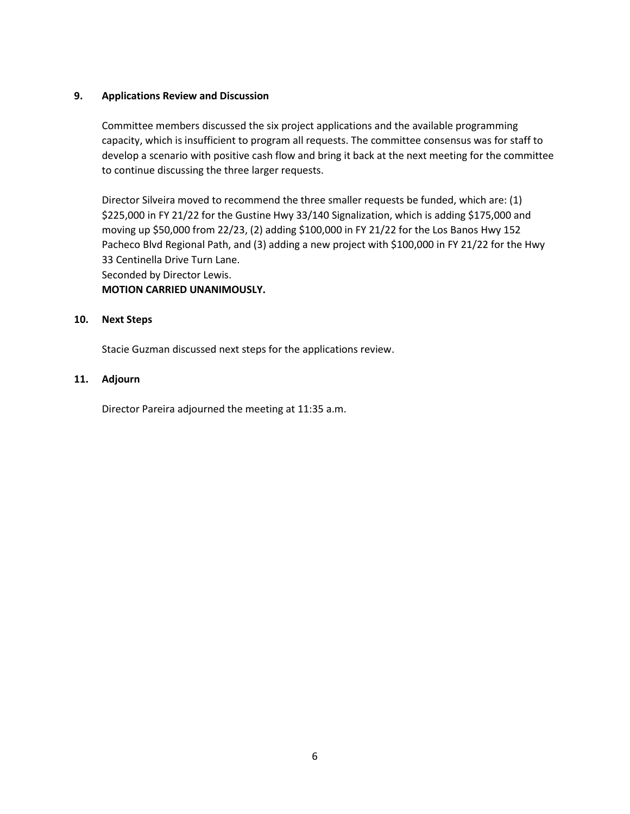# **9. Applications Review and Discussion**

Committee members discussed the six project applications and the available programming capacity, which is insufficient to program all requests. The committee consensus was for staff to develop a scenario with positive cash flow and bring it back at the next meeting for the committee to continue discussing the three larger requests.

Director Silveira moved to recommend the three smaller requests be funded, which are: (1) \$225,000 in FY 21/22 for the Gustine Hwy 33/140 Signalization, which is adding \$175,000 and moving up \$50,000 from 22/23, (2) adding \$100,000 in FY 21/22 for the Los Banos Hwy 152 Pacheco Blvd Regional Path, and (3) adding a new project with \$100,000 in FY 21/22 for the Hwy 33 Centinella Drive Turn Lane. Seconded by Director Lewis. **MOTION CARRIED UNANIMOUSLY.**

# **10. Next Steps**

Stacie Guzman discussed next steps for the applications review.

# **11. Adjourn**

Director Pareira adjourned the meeting at 11:35 a.m.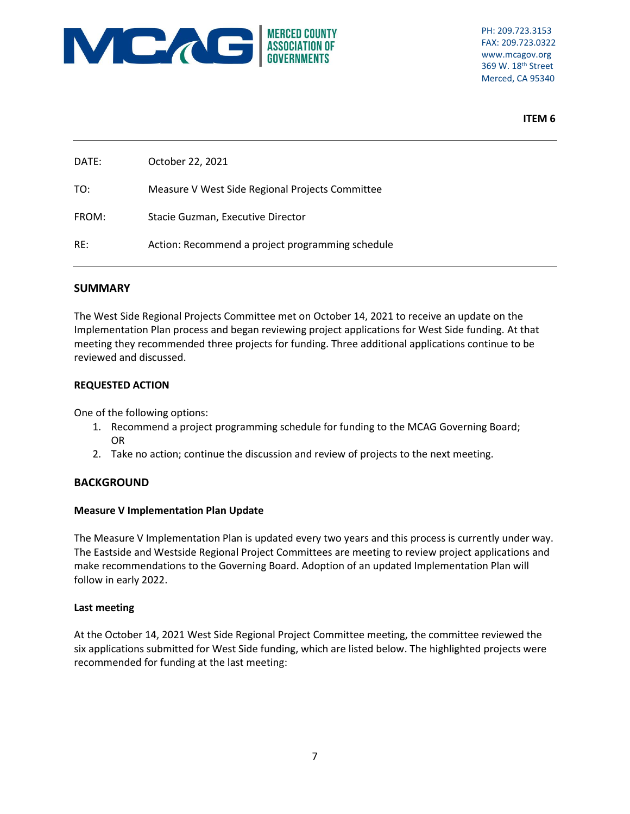

PH: 209.723.3153 FAX: 209.723.0322 www.mcagov.org 369 W. 18th Street Merced, CA 95340

**ITEM 6**

| DATE: | October 22, 2021                                 |
|-------|--------------------------------------------------|
| TO:   | Measure V West Side Regional Projects Committee  |
| FROM: | Stacie Guzman, Executive Director                |
| RE:   | Action: Recommend a project programming schedule |

# **SUMMARY**

The West Side Regional Projects Committee met on October 14, 2021 to receive an update on the Implementation Plan process and began reviewing project applications for West Side funding. At that meeting they recommended three projects for funding. Three additional applications continue to be reviewed and discussed.

# **REQUESTED ACTION**

One of the following options:

- 1. Recommend a project programming schedule for funding to the MCAG Governing Board; OR
- 2. Take no action; continue the discussion and review of projects to the next meeting.

# **BACKGROUND**

# **Measure V Implementation Plan Update**

The Measure V Implementation Plan is updated every two years and this process is currently under way. The Eastside and Westside Regional Project Committees are meeting to review project applications and make recommendations to the Governing Board. Adoption of an updated Implementation Plan will follow in early 2022.

# **Last meeting**

At the October 14, 2021 West Side Regional Project Committee meeting, the committee reviewed the six applications submitted for West Side funding, which are listed below. The highlighted projects were recommended for funding at the last meeting: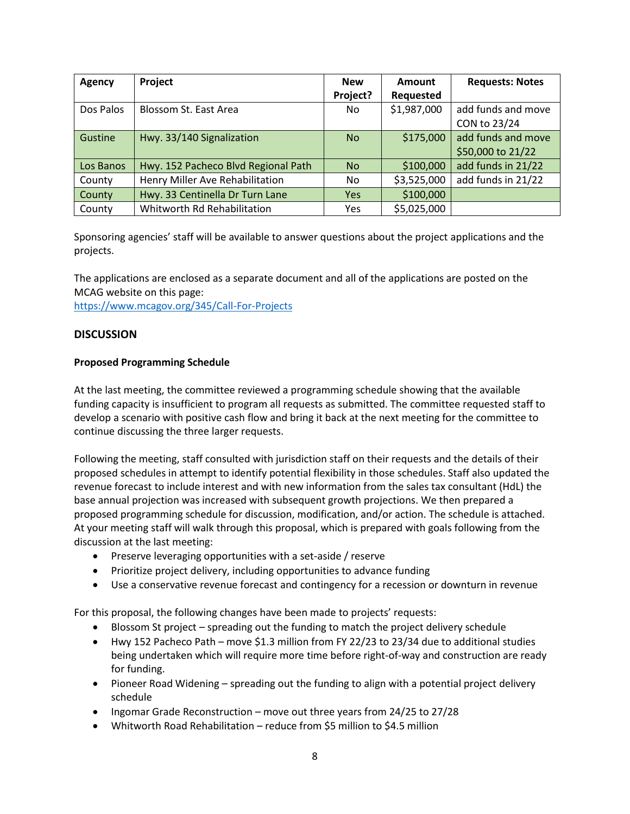| Agency    | Project                             | <b>New</b> | Amount      | <b>Requests: Notes</b> |  |
|-----------|-------------------------------------|------------|-------------|------------------------|--|
|           |                                     | Project?   | Requested   |                        |  |
| Dos Palos | Blossom St. East Area               | No.        | \$1,987,000 | add funds and move     |  |
|           |                                     |            |             | CON to 23/24           |  |
| Gustine   | Hwy. 33/140 Signalization           | <b>No</b>  | \$175,000   | add funds and move     |  |
|           |                                     |            |             | \$50,000 to 21/22      |  |
| Los Banos | Hwy. 152 Pacheco Blvd Regional Path | <b>No</b>  | \$100,000   | add funds in 21/22     |  |
| County    | Henry Miller Ave Rehabilitation     | No.        | \$3,525,000 | add funds in 21/22     |  |
| County    | Hwy. 33 Centinella Dr Turn Lane     | Yes        | \$100,000   |                        |  |
| County    | Whitworth Rd Rehabilitation         | Yes        | \$5,025,000 |                        |  |

Sponsoring agencies' staff will be available to answer questions about the project applications and the projects.

The applications are enclosed as a separate document and all of the applications are posted on the MCAG website on this page:

<https://www.mcagov.org/345/Call-For-Projects>

# **DISCUSSION**

#### **Proposed Programming Schedule**

At the last meeting, the committee reviewed a programming schedule showing that the available funding capacity is insufficient to program all requests as submitted. The committee requested staff to develop a scenario with positive cash flow and bring it back at the next meeting for the committee to continue discussing the three larger requests.

Following the meeting, staff consulted with jurisdiction staff on their requests and the details of their proposed schedules in attempt to identify potential flexibility in those schedules. Staff also updated the revenue forecast to include interest and with new information from the sales tax consultant (HdL) the base annual projection was increased with subsequent growth projections. We then prepared a proposed programming schedule for discussion, modification, and/or action. The schedule is attached. At your meeting staff will walk through this proposal, which is prepared with goals following from the discussion at the last meeting:

- Preserve leveraging opportunities with a set-aside / reserve
- Prioritize project delivery, including opportunities to advance funding
- Use a conservative revenue forecast and contingency for a recession or downturn in revenue

For this proposal, the following changes have been made to projects' requests:

- Blossom St project spreading out the funding to match the project delivery schedule
- Hwy 152 Pacheco Path move \$1.3 million from FY 22/23 to 23/34 due to additional studies being undertaken which will require more time before right-of-way and construction are ready for funding.
- Pioneer Road Widening spreading out the funding to align with a potential project delivery schedule
- Ingomar Grade Reconstruction move out three years from 24/25 to 27/28
- Whitworth Road Rehabilitation reduce from \$5 million to \$4.5 million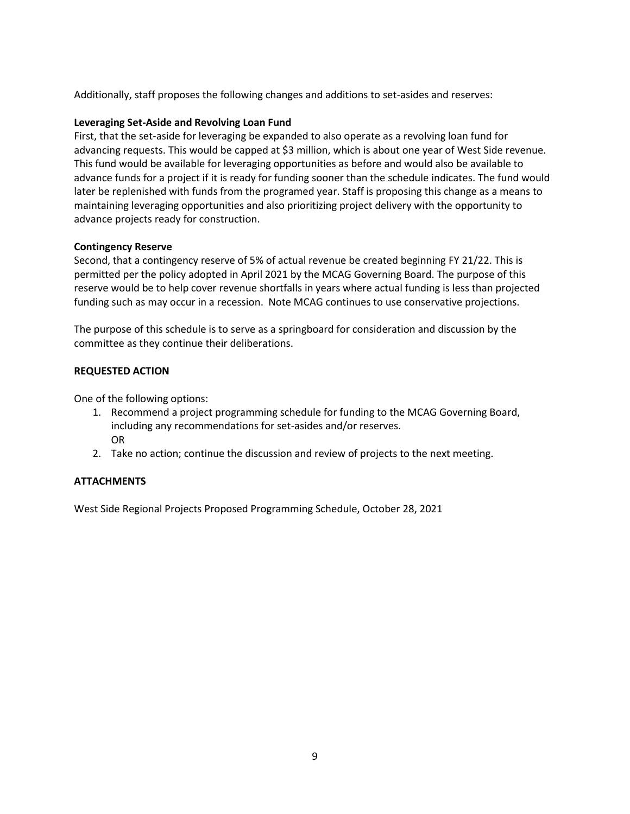Additionally, staff proposes the following changes and additions to set-asides and reserves:

# **Leveraging Set-Aside and Revolving Loan Fund**

First, that the set-aside for leveraging be expanded to also operate as a revolving loan fund for advancing requests. This would be capped at \$3 million, which is about one year of West Side revenue. This fund would be available for leveraging opportunities as before and would also be available to advance funds for a project if it is ready for funding sooner than the schedule indicates. The fund would later be replenished with funds from the programed year. Staff is proposing this change as a means to maintaining leveraging opportunities and also prioritizing project delivery with the opportunity to advance projects ready for construction.

# **Contingency Reserve**

Second, that a contingency reserve of 5% of actual revenue be created beginning FY 21/22. This is permitted per the policy adopted in April 2021 by the MCAG Governing Board. The purpose of this reserve would be to help cover revenue shortfalls in years where actual funding is less than projected funding such as may occur in a recession. Note MCAG continues to use conservative projections.

The purpose of this schedule is to serve as a springboard for consideration and discussion by the committee as they continue their deliberations.

# **REQUESTED ACTION**

One of the following options:

- 1. Recommend a project programming schedule for funding to the MCAG Governing Board, including any recommendations for set-asides and/or reserves. OR
- 2. Take no action; continue the discussion and review of projects to the next meeting.

# **ATTACHMENTS**

West Side Regional Projects Proposed Programming Schedule, October 28, 2021